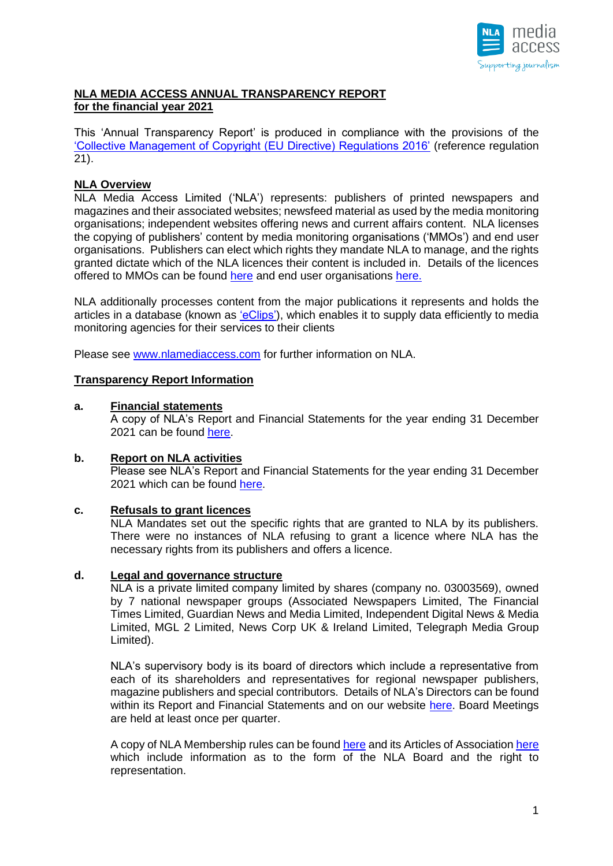

## **NLA MEDIA ACCESS ANNUAL TRANSPARENCY REPORT for the financial year 2021**

This 'Annual Transparency Report' is produced in compliance with the provisions of the ['Collective Management of Copyright \(EU Directive\) Regulations 2016'](http://www.legislation.gov.uk/uksi/2016/221/pdfs/uksi_20160221_en.pdf) (reference regulation 21).

## **NLA Overview**

NLA Media Access Limited ('NLA') represents: publishers of printed newspapers and magazines and their associated websites; newsfeed material as used by the media monitoring organisations; independent websites offering news and current affairs content. NLA licenses the copying of publishers' content by media monitoring organisations ('MMOs') and end user organisations. Publishers can elect which rights they mandate NLA to manage, and the rights granted dictate which of the NLA licences their content is included in. Details of the licences offered to MMOs can be found [here](http://www.nlamediaaccess.com/default.aspx?tabid=150) and end user organisations [here.](http://www.nlamediaaccess.com/default.aspx?tabid=132)

NLA additionally processes content from the major publications it represents and holds the articles in a database (known as ['eClips'\)](http://www.nlamediaaccess.com/default.aspx?tabid=151), which enables it to supply data efficiently to media monitoring agencies for their services to their clients

Please see [www.nlamediaccess.com](http://www.nlamediaccess.com/) for further information on NLA.

### **Transparency Report Information**

### **a. Financial statements**

A copy of NLA's Report and Financial Statements for the year ending 31 December 2021 can be found [here.](https://www.nlamediaaccess.com/wp-content/uploads/2022/04/NLA-stat-accs-2021-RSM-signed.pdf)

#### **b. Report on NLA activities**

Please see NLA's Report and Financial Statements for the year ending 31 December 2021 which can be found [here.](https://www.nlamediaaccess.com/wp-content/uploads/2022/04/NLA-stat-accs-2021-RSM-signed.pdf)

#### **c. Refusals to grant licences**

NLA Mandates set out the specific rights that are granted to NLA by its publishers. There were no instances of NLA refusing to grant a licence where NLA has the necessary rights from its publishers and offers a licence.

### **d. Legal and governance structure**

NLA is a private limited company limited by shares (company no. 03003569), owned by 7 national newspaper groups (Associated Newspapers Limited, The Financial Times Limited, Guardian News and Media Limited, Independent Digital News & Media Limited, MGL 2 Limited, News Corp UK & Ireland Limited, Telegraph Media Group Limited).

NLA's supervisory body is its board of directors which include a representative from each of its shareholders and representatives for regional newspaper publishers, magazine publishers and special contributors. Details of NLA's Directors can be found within its Report and Financial Statements and on our website [here.](http://www.nlamediaaccess.com/default.aspx?tabid=202) Board Meetings are held at least once per quarter.

A copy of NLA Membership rules can be found [here](https://www.nlamediaaccess.com/wp-content/uploads/2020/04/NLA-Membership-Rules-updated-2019-1.pdf) and its Articles of Association [here](http://www.nlamediaaccess.com/uploads/public/NLA%20Articles%20of%20Association.pdf) which include information as to the form of the NLA Board and the right to representation.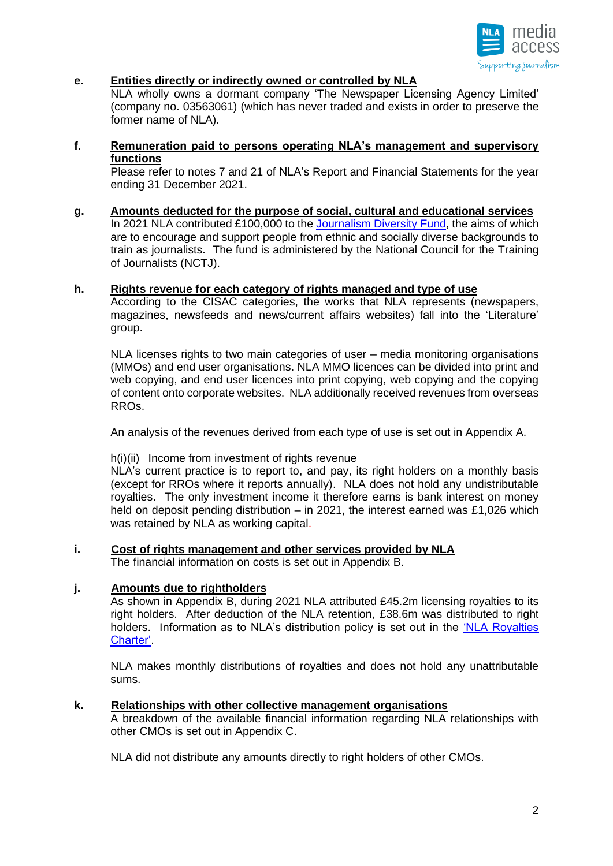

### **e. Entities directly or indirectly owned or controlled by NLA**

NLA wholly owns a dormant company 'The Newspaper Licensing Agency Limited' (company no. 03563061) (which has never traded and exists in order to preserve the former name of NLA).

**f. Remuneration paid to persons operating NLA's management and supervisory functions**

Please refer to notes 7 and 21 of NLA's Report and Financial Statements for the year ending 31 December 2021.

**g. Amounts deducted for the purpose of social, cultural and educational services**

In 2021 NLA contributed £100,000 to the [Journalism Diversity Fund,](http://www.journalismdiversityfund.com/) the aims of which are to encourage and support people from ethnic and socially diverse backgrounds to train as journalists. The fund is administered by the National Council for the Training of Journalists (NCTJ).

### **h. Rights revenue for each category of rights managed and type of use**

According to the CISAC categories, the works that NLA represents (newspapers, magazines, newsfeeds and news/current affairs websites) fall into the 'Literature' group.

NLA licenses rights to two main categories of user – media monitoring organisations (MMOs) and end user organisations. NLA MMO licences can be divided into print and web copying, and end user licences into print copying, web copying and the copying of content onto corporate websites. NLA additionally received revenues from overseas RROs.

An analysis of the revenues derived from each type of use is set out in Appendix A.

#### h(i)(ii) Income from investment of rights revenue

NLA's current practice is to report to, and pay, its right holders on a monthly basis (except for RROs where it reports annually). NLA does not hold any undistributable royalties. The only investment income it therefore earns is bank interest on money held on deposit pending distribution – in 2021, the interest earned was £1,026 which was retained by NLA as working capital.

**i. Cost of rights management and other services provided by NLA**  The financial information on costs is set out in Appendix B.

### **j. Amounts due to rightholders**

As shown in Appendix B, during 2021 NLA attributed £45.2m licensing royalties to its right holders. After deduction of the NLA retention, £38.6m was distributed to right holders. Information as to NLA's distribution policy is set out in the ['NLA Royalties](http://www.nlamediaaccess.com/default.aspx?tabid=203)  [Charter'.](http://www.nlamediaaccess.com/default.aspx?tabid=203)

NLA makes monthly distributions of royalties and does not hold any unattributable sums.

#### **k. Relationships with other collective management organisations**

A breakdown of the available financial information regarding NLA relationships with other CMOs is set out in Appendix C.

NLA did not distribute any amounts directly to right holders of other CMOs.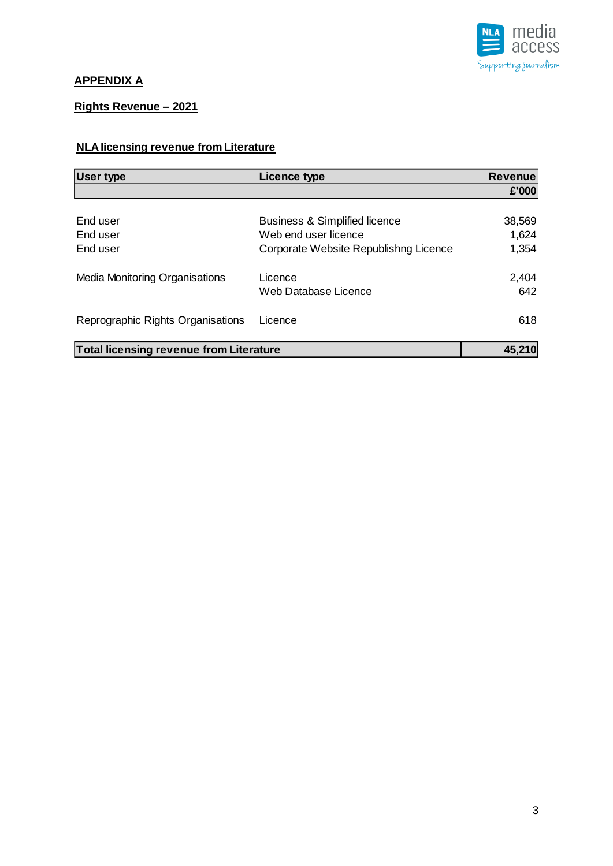

## **APPENDIX A**

## **Rights Revenue – 2021**

## **NLA licensing revenue from Literature**

| <b>User type</b>                               | <b>Licence type</b>                      | <b>Revenue</b> |
|------------------------------------------------|------------------------------------------|----------------|
|                                                |                                          | £'000          |
|                                                |                                          |                |
| End user                                       | <b>Business &amp; Simplified licence</b> | 38,569         |
| End user                                       | Web end user licence                     | 1,624          |
| End user                                       | Corporate Website Republishng Licence    | 1,354          |
| Media Monitoring Organisations                 | Licence                                  | 2,404          |
|                                                | Web Database Licence                     | 642            |
| Reprographic Rights Organisations              | Licence                                  | 618            |
| <b>Total licensing revenue from Literature</b> |                                          | 45,210         |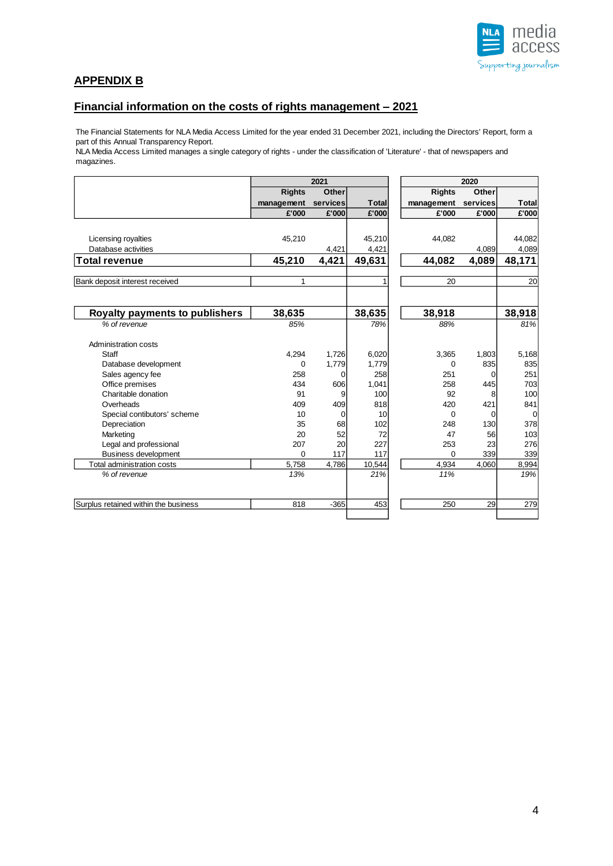

## **APPENDIX B**

### **Financial information on the costs of rights management – 2021**

The Financial Statements for NLA Media Access Limited for the year ended 31 December 2021, including the Directors' Report, form a part of this Annual Transparency Report.

NLA Media Access Limited manages a single category of rights - under the classification of 'Literature' - that of newspapers and magazines.

|                                       |               | 2021           |              |               | 2020     |              |  |
|---------------------------------------|---------------|----------------|--------------|---------------|----------|--------------|--|
|                                       | <b>Rights</b> | <b>Other</b>   |              | <b>Rights</b> | Other    |              |  |
|                                       | management    | services       | <b>Total</b> | management    | services | <b>Total</b> |  |
|                                       | £'000         | £'000          | £'000        | £'000         | £'000    | £'000        |  |
|                                       |               |                |              |               |          |              |  |
| Licensing royalties                   | 45,210        |                | 45.210       | 44.082        |          | 44.082       |  |
| Database activities                   |               | 4,421          | 4,421        |               | 4,089    | 4,089        |  |
| <b>Total revenue</b>                  | 45,210        | 4,421          | 49,631       | 44,082        | 4,089    | 48,171       |  |
|                                       | 1             |                | 1            | 20            |          |              |  |
| Bank deposit interest received        |               |                |              |               |          | 20           |  |
| <b>Royalty payments to publishers</b> | 38,635        |                | 38,635       | 38,918        |          | 38,918       |  |
|                                       |               |                |              |               |          |              |  |
| % of revenue                          | 85%           |                | 78%          | 88%           |          | 81%          |  |
| Administration costs                  |               |                |              |               |          |              |  |
| Staff                                 | 4,294         | 1,726          | 6,020        | 3,365         | 1,803    | 5,168        |  |
| Database development                  | 0             | 1,779          | 1,779        | $\mathbf 0$   | 835      | 835          |  |
| Sales agency fee                      | 258           | $\Omega$       | 258          | 251           | 0        | 251          |  |
| Office premises                       | 434           | 606            | 1,041        | 258           | 445      | 703          |  |
| Charitable donation                   | 91            | 9              | 100          | 92            | 8        | 100          |  |
| Overheads                             | 409           | 409            | 818          | 420           | 421      | 841          |  |
| Special contibutors' scheme           | 10            | $\overline{0}$ | 10           | $\Omega$      | 0        | $\mathbf 0$  |  |
| Depreciation                          | 35            | 68             | 102          | 248           | 130      | 378          |  |
| Marketing                             | 20            | 52             | 72           | 47            | 56       | 103          |  |
| Legal and professional                | 207           | 20             | 227          | 253           | 23       | 276          |  |
| <b>Business development</b>           | $\Omega$      | 117            | 117          | $\Omega$      | 339      | 339          |  |
| Total administration costs            | 5,758         | 4,786          | 10,544       | 4,934         | 4,060    | 8,994        |  |
| % of revenue                          | 13%           |                | 21%          | 11%           |          | 19%          |  |
|                                       |               |                |              |               |          |              |  |
| Surplus retained within the business  | 818           | $-365$         | 453          | 250           | 29       | 279          |  |
|                                       |               |                |              |               |          |              |  |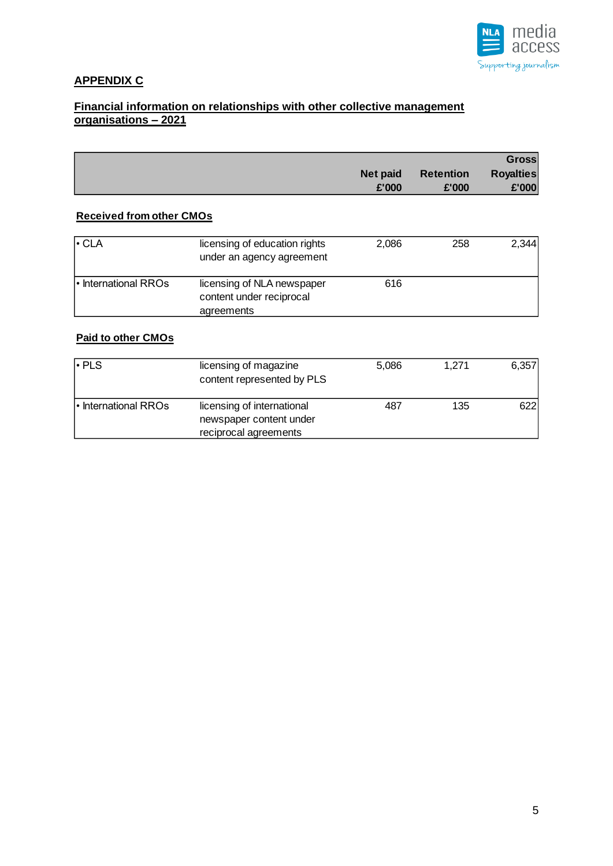

## **APPENDIX C**

### **Financial information on relationships with other collective management organisations – 2021**

|                 |                  | <b>Gross</b>     |
|-----------------|------------------|------------------|
| <b>Net paid</b> | <b>Retention</b> | <b>Royalties</b> |
| £'000           | £'000            | E'000            |

## **Received from other CMOs**

| $\cdot$ CLA          | licensing of education rights<br>under an agency agreement | 2,086 | 258 | 2.344 |
|----------------------|------------------------------------------------------------|-------|-----|-------|
| l International RROs | licensing of NLA newspaper<br>content under reciprocal     | 616   |     |       |
|                      | agreements                                                 |       |     |       |

## **Paid to other CMOs**

| $\cdot$ PLS          | licensing of magazine<br>content represented by PLS                            | 5.086 | 1.271 | 6,357 |
|----------------------|--------------------------------------------------------------------------------|-------|-------|-------|
| l International RROs | licensing of international<br>newspaper content under<br>reciprocal agreements | 487   | 135   | 622   |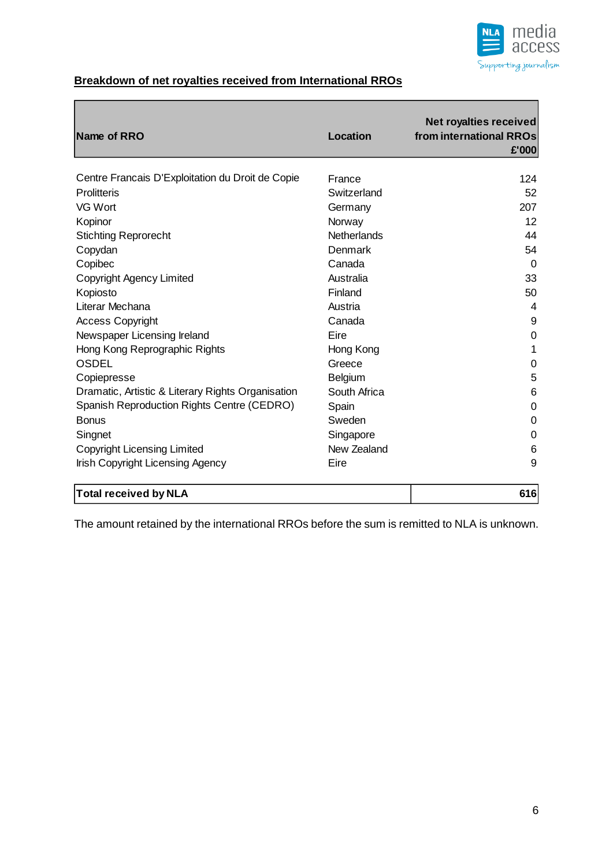

## **Breakdown of net royalties received from International RROs**

| Name of RRO                                       | Location           | <b>Net royalties received</b><br>from international RROs<br>£'000 |
|---------------------------------------------------|--------------------|-------------------------------------------------------------------|
| Centre Francais D'Exploitation du Droit de Copie  | France             | 124                                                               |
| <b>Prolitteris</b>                                | Switzerland        | 52                                                                |
| VG Wort                                           | Germany            | 207                                                               |
| Kopinor                                           | Norway             | 12                                                                |
| <b>Stichting Reprorecht</b>                       | <b>Netherlands</b> | 44                                                                |
| Copydan                                           | Denmark            | 54                                                                |
| Copibec                                           | Canada             | $\Omega$                                                          |
| Copyright Agency Limited                          | Australia          | 33                                                                |
| Kopiosto                                          | Finland            | 50                                                                |
| Literar Mechana                                   | Austria            | $\overline{4}$                                                    |
| <b>Access Copyright</b>                           | Canada             | 9                                                                 |
| Newspaper Licensing Ireland                       | Eire               | $\mathbf 0$                                                       |
| Hong Kong Reprographic Rights                     | Hong Kong          | 1                                                                 |
| <b>OSDEL</b>                                      | Greece             | 0                                                                 |
| Copiepresse                                       | Belgium            | 5                                                                 |
| Dramatic, Artistic & Literary Rights Organisation | South Africa       | 6                                                                 |
| Spanish Reproduction Rights Centre (CEDRO)        | Spain              | 0                                                                 |
| <b>Bonus</b>                                      | Sweden             | $\mathbf 0$                                                       |
| Singnet                                           | Singapore          | 0                                                                 |
| <b>Copyright Licensing Limited</b>                | New Zealand        | 6                                                                 |
| Irish Copyright Licensing Agency                  | Eire               | 9                                                                 |
| <b>Total received by NLA</b>                      |                    | 616                                                               |

The amount retained by the international RROs before the sum is remitted to NLA is unknown.